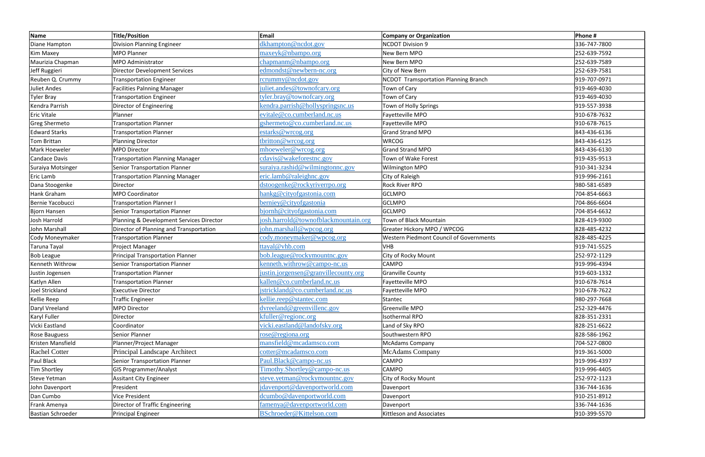| <b>Name</b>              | <b>Title/Position</b>                    | Email                                | <b>Company or Organization</b>              | Phone #      |
|--------------------------|------------------------------------------|--------------------------------------|---------------------------------------------|--------------|
| Diane Hampton            | <b>Division Planning Engineer</b>        | dkhampton@ncdot.gov                  | <b>NCDOT Division 9</b>                     | 336-747-7800 |
| Kim Maxey                | <b>MPO Planner</b>                       | maxeyk@nbampo.org                    | New Bern MPO                                | 252-639-7592 |
| Maurizia Chapman         | MPO Administrator                        | chapmanm@nbampo.org                  | New Bern MPO                                | 252-639-7589 |
| Jeff Ruggieri            | <b>Director Development Services</b>     | edmondst@newbern-nc.org              | City of New Bern                            | 252-639-7581 |
| Reuben Q. Crummy         | <b>Transportation Engineer</b>           | rcrummy@ncdot.gov                    | <b>NCDOT Tramsportation Planning Branch</b> | 919-707-0971 |
| <b>Juliet Andes</b>      | <b>Facilities Palnning Manager</b>       | juliet.andes@townofcary.org          | Town of Cary                                | 919-469-4030 |
| <b>Tyler Bray</b>        | <b>Transportation Engineer</b>           | tyler.bray@townofcary.org            | Town of Cary                                | 919-469-4030 |
| Kendra Parrish           | Director of Engineering                  | kendra.parrish@hollyspringsnc.us     | Town of Holly Springs                       | 919-557-3938 |
| <b>Eric Vitale</b>       | Planner                                  | evitale@co.cumberland.nc.us          | Fayetteville MPO                            | 910-678-7632 |
| <b>Greg Shermeto</b>     | <b>Transportation Planner</b>            | gshermeto@co.cumberland.nc.us        | Fayetteville MPO                            | 910-678-7615 |
| <b>Edward Starks</b>     | <b>Transportation Planner</b>            | estarks@wrcog.org                    | <b>Grand Strand MPO</b>                     | 843-436-6136 |
| <b>Tom Brittan</b>       | <b>Planning Director</b>                 | tbritton@wrcog.org                   | <b>WRCOG</b>                                | 843-436-6125 |
| Mark Hoeweler            | <b>MPO Director</b>                      | mhoeweler@wrcog.org                  | <b>Grand Strand MPO</b>                     | 843-436-6130 |
| <b>Candace Davis</b>     | <b>Transportation Planning Manager</b>   | cdavis@wakeforestnc.gov              | Town of Wake Forest                         | 919-435-9513 |
| Suraiya Motsinger        | Senior Transportation Planner            | suraiya.rashid@wilmingtonnc.gov      | Wilmington MPO                              | 910-341-3234 |
| <b>Eric Lamb</b>         | <b>Transportation Planning Manager</b>   | eric.lamb@raleighnc.gov              | City of Raleigh                             | 919-996-2161 |
| Dana Stoogenke           | Director                                 | dstoogenke@rockyriverrpo.org         | <b>Rock River RPO</b>                       | 980-581-6589 |
| Hank Graham              | <b>MPO Coordinator</b>                   | hankg@cityofgastonia.com             | <b>GCLMPO</b>                               | 704-854-6663 |
| Bernie Yacobucci         | <b>Transportation Planner I</b>          | berniey@cityofgastonia               | <b>GCLMPO</b>                               | 704-866-6604 |
| Bjorn Hansen             | <b>Senior Transportation Planner</b>     | bjornh@cityofgastonia.com            | <b>GCLMPO</b>                               | 704-854-6632 |
| Josh Harrold             | Planning & Development Services Director | josh.harrold@townofblackmountain.org | Town of Black Mountain                      | 828-419-9300 |
| John Marshall            | Director of Planning and Transportation  | john.marshall@wpcog.org              | Greater Hickory MPO / WPCOG                 | 828-485-4232 |
| Cody Moneymaker          | <b>Transportation Planner</b>            | cody.moneymaker@wpcog.org            | Western Piedmont Council of Governments     | 828-485-4225 |
| Taruna Tayal             | Project Manager                          | ttayal@vhb.com                       | <b>VHB</b>                                  | 919-741-5525 |
| <b>Bob League</b>        | <b>Principal Transportation Planner</b>  | bob.league@rockymountnc.gov          | City of Rocky Mount                         | 252-972-1129 |
| Kenneth Withrow          | Senior Transportation Planner            | kenneth.withrow@campo-nc.us          | <b>CAMPO</b>                                | 919-996-4394 |
| Justin Jogensen          | <b>Transportation Planner</b>            | justin.jorgensen@granvillecounty.org | <b>Granville County</b>                     | 919-603-1332 |
| Katlyn Allen             | <b>Transportation Planner</b>            | kallen@co.cumberland.nc.us           | Fayetteville MPO                            | 910-678-7614 |
| Joel Strickland          | <b>Executive Director</b>                | jstrickland@co.cumberland.nc.us      | Fayetteville MPO                            | 910-678-7622 |
| Kellie Reep              | <b>Traffic Engineer</b>                  | kellie.reep@stantec.com              | Stantec                                     | 980-297-7668 |
| Daryl Vreeland           | MPO Director                             | dvreeland@greenvillenc.gov           | Greenville MPO                              | 252-329-4476 |
| Karyl Fuller             | Director                                 | kfuller@regionc.org                  | Isothermal RPO                              | 828-351-2331 |
| Vicki Eastland           | Coordinator                              | vicki.eastland@landofsky.org         | Land of Sky RPO                             | 828-251-6622 |
| <b>Rose Bauguess</b>     | Senior Planner                           | rose@regiona.org                     | Southwestern RPO                            | 828-586-1962 |
| Kristen Mansfield        | Planner/Project Manager                  | mansfield@mcadamsco.com              | <b>McAdams Company</b>                      | 704-527-0800 |
| <b>Rachel Cotter</b>     | Principal Landscape Architect            | cotter@mcadamsco.com                 | <b>McAdams</b> Company                      | 919-361-5000 |
| Paul Black               | <b>Senior Transportation Planner</b>     | Paul.Black@campo-nc.us               | <b>CAMPO</b>                                | 919-996-4397 |
| Tim Shortley             | <b>GIS Programmer/Analyst</b>            | Timothy.Shortley@campo-nc.us         | <b>CAMPO</b>                                | 919-996-4405 |
| <b>Steve Yetman</b>      | Assitant City Engineer                   | steve.yetman@rockymountnc.gov        | City of Rocky Mount                         | 252-972-1123 |
| John Davenport           | President                                | jdavenport@davenportworld.com        | Davenport                                   | 336-744-1636 |
| Dan Cumbo                | <b>Vice President</b>                    | dcumbo@davenportworld.com            | Davenport                                   | 910-251-8912 |
| Frank Amenya             | Director of Traffic Engineering          | famenya@davenportworld.com           | Davenport                                   | 336-744-1636 |
| <b>Bastian Schroeder</b> | Principal Engineer                       | BSchroeder@Kittelson.com             | Kittleson and Associates                    | 910-399-5570 |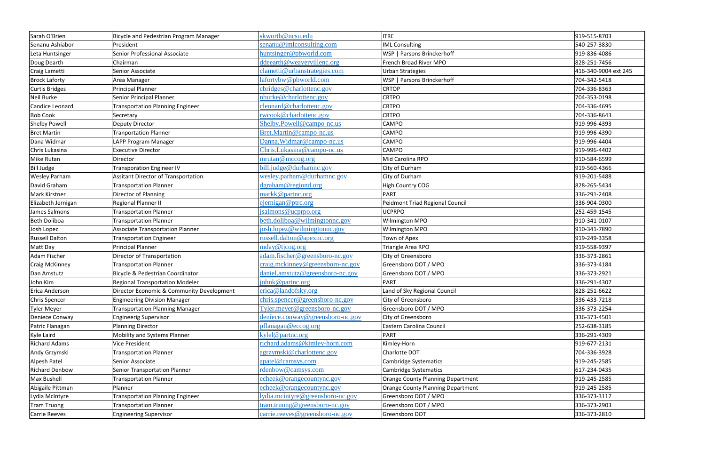| Sarah O'Brien         | Bicycle and Pedestrian Program Manager     | skworth@ncsu.edu                                       | <b>ITRE</b>                              | 919-515-8703         |
|-----------------------|--------------------------------------------|--------------------------------------------------------|------------------------------------------|----------------------|
| Senanu Ashiabor       | President                                  | senanu@imlconsulting.com                               | <b>IML Consulting</b>                    | 540-257-3830         |
| Leta Huntsinger       | Senior Professional Associate              | huntsinger@pbworld.com                                 | WSP   Parsons Brinckerhoff               | 919-836-4086         |
| Doug Dearth           | Chairman                                   | ddeearth@weavervillenc.org                             | French Broad River MPO                   | 828-251-7456         |
| Craig Lametti         | Senior Associate                           | clametti@urbanstrategies.com                           | <b>Urban Strategies</b>                  | 416-340-9004 ext 245 |
| <b>Brock Laforty</b>  | Area Manager                               | lafortybw@pbworld.com                                  | WSP   Parsons Brinckerhoff               | 704-342-5418         |
| Curtis Bridges        | <b>Principal Planner</b>                   | cbridges@charlottenc.gov                               | <b>CRTOP</b>                             | 704-336-8363         |
| Neil Burke            | Senior Principal Planner                   | nburke@charlottenc.gov                                 | <b>CRTPO</b>                             | 704-353-0198         |
| Candice Leonard       | <b>Transportation Planning Engineer</b>    | cleonard@charlottenc.gov                               | <b>CRTPO</b>                             | 704-336-4695         |
| <b>Bob Cook</b>       | Secretary                                  | rwcook@charlottenc.gov                                 | <b>CRTPO</b>                             | 704-336-8643         |
| <b>Shelby Powell</b>  | <b>Deputy Director</b>                     | Shelby.Powell@campo-nc.us                              | CAMPO                                    | 919-996-4393         |
| <b>Bret Martin</b>    | <b>Tranportation Planner</b>               | Bret.Martin@campo-nc.us                                | <b>CAMPO</b>                             | 919-996-4390         |
| Dana Widmar           | LAPP Program Manager                       | Danna. Widmar@campo-nc.us                              | <b>CAMPO</b>                             | 919-996-4404         |
| Chris Lukasina        | <b>Executive Director</b>                  | Chris.Lukasina@campo-nc.us                             | CAMPO                                    | 919-996-4402         |
| Mike Rutan            | Director                                   | mrutan@mccog.org                                       | Mid Carolina RPO                         | 910-584-6599         |
| <b>Bill Judge</b>     | <b>Transporation Engineer IV</b>           | bill.judge@durhamnc.gov                                | City of Durham                           | 919-560-4366         |
| Wesley Parham         | <b>Assitant Director of Transportation</b> | wesley.parham@durhamnc.gov                             | City of Durham                           | 919-201-5488         |
| David Graham          | <b>Transportation Planner</b>              | dgraham@regiond.org                                    | <b>High Country COG</b>                  | 828-265-5434         |
| Mark Kirstner         | Director of Planning                       | markk@partnc.org                                       | <b>PART</b>                              | 336-291-2408         |
| Elizabeth Jernigan    | Regional Planner II                        | ejernigan@ptrc.org                                     | <b>Peidmont Triad Regional Council</b>   | 336-904-0300         |
| James Salmons         | <b>Transportation Planner</b>              | jsalmons@ucprpo.org                                    | <b>UCPRPO</b>                            | 252-459-1545         |
| <b>Beth Doliboa</b>   | <b>Transportation Planner</b>              | beth.doliboa@wilmingtonnc.gov                          | Wilmington MPO                           | 910-341-0107         |
| Josh Lopez            | <b>Associate Transportation Planner</b>    | josh.lopez@wilmingtonnc.gov                            | Wilmington MPO                           | 910-341-7890         |
| <b>Russell Dalton</b> | <b>Transportation Engineer</b>             | russell.dalton@apexnc.org                              | Town of Apex                             | 919-249-3358         |
| Matt Day              | Principal Planner                          | mday@tjcog.org                                         | Triangle Area RPO                        | 919-558-9397         |
| Adam Fischer          | Director of Transportation                 | adam.fischer@greensboro-nc.gov                         | City of Greensboro                       | 336-373-2861         |
| Craig McKinney        | <b>Transportation Planner</b>              | craig.mckinney@greensboro-nc.gov                       | Greensboro DOT / MPO                     | 336-373-4184         |
| Dan Amstutz           | Bicycle & Pedestrian Coordinator           | daniel.amstutz@greensboro-nc.gov                       | Greensboro DOT / MPO                     | 336-373-2921         |
| John Kim              | <b>Regional Transportation Modeler</b>     | johnk@partnc.org                                       | PART                                     | 336-291-4307         |
| Erica Anderson        | Director Economic & Community Development  | erica@landofsky.org                                    | Land of Sky Regional Council             | 828-251-6622         |
| Chris Spencer         | <b>Engineering Division Manager</b>        | chris.spencer@greensboro-nc.gov                        | City of Greensboro                       | 336-433-7218         |
| Tyler Meyer           | <b>Transportation Planning Manager</b>     | $\text{Tyler}.\text{meyer} @ \text{greensboro-nc.gov}$ | Greensboro DOT / MPO                     | 336-373-2254         |
| Deniece Conway        | <b>Engineerig Supervisor</b>               | deniece.conway@greensboro-nc.gov                       | City of Greensboro                       | 336-373-4501         |
| Patric Flanagan       | <b>Planning Director</b>                   | pflanagan@eccog.org                                    | Eastern Carolina Council                 | 252-638-3185         |
| Kyle Laird            | Mobility and Systems Planner               | kylel@partnc.org                                       | PART                                     | 336-291-4309         |
| <b>Richard Adams</b>  | Vice President                             | richard.adams@kimley-horn.com                          | Kimley-Horn                              | 919-677-2131         |
| Andy Grzymski         | <b>Transportation Planner</b>              | agrzymski@charlottenc.gov                              | Charlotte DOT                            | 704-336-3928         |
| Alpesh Patel          | Senior Associate                           | apatel@camsys.com                                      | <b>Cambridge Systematics</b>             | 919-245-2585         |
| <b>Richard Denbow</b> | <b>Senior Transportation Planner</b>       | rdenbow@camsys.com                                     | <b>Cambridge Systematics</b>             | 617-234-0435         |
| Max Bushell           | <b>Transportation Planner</b>              | echeek@orangecountync.gov                              | <b>Orange County Planning Department</b> | 919-245-2585         |
| Abigaile Pittman      | Planner                                    | echeek@orangecountync.gov                              | <b>Orange County Planning Department</b> | 919-245-2585         |
| Lydia McIntyre        | <b>Transportation Planning Engineer</b>    | lydia.mcintyre@greensboro-nc.gov                       | Greensboro DOT / MPO                     | 336-373-3117         |
| <b>Tram Truong</b>    | <b>Transportation Planner</b>              | tram.truong@greensboro-nc.gov                          | Greensboro DOT / MPO                     | 336-373-2903         |
| Carrie Reeves         | <b>Engineering Supervisor</b>              | carrie.reeves@greensboro-nc.gov                        | Greensboro DOT                           | 336-373-2810         |
|                       |                                            |                                                        |                                          |                      |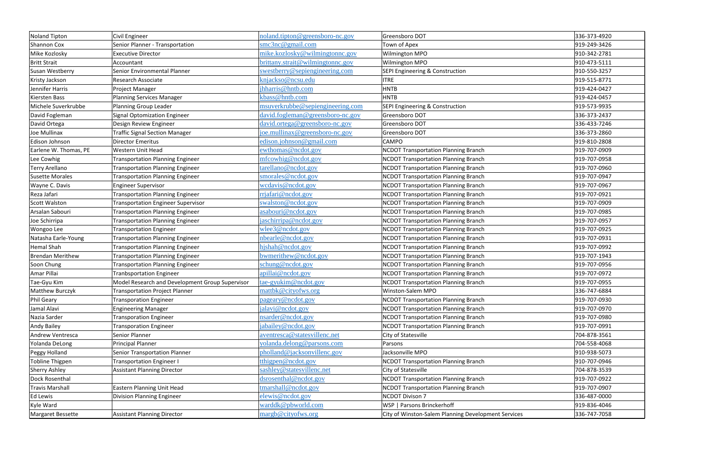| <b>Noland Tipton</b>    | Civil Engineer                                  | noland.tipton@greensboro-nc.gov  | Greensboro DOT                                      | 336-373-4920 |
|-------------------------|-------------------------------------------------|----------------------------------|-----------------------------------------------------|--------------|
| <b>Shannon Cox</b>      | Senior Planner - Transportation                 | $\text{smc3nc@gmail.com}$        | Town of Apex                                        | 919-249-3426 |
| Mike Kozlosky           | <b>Executive Director</b>                       | mike.kozlosky@wilmingtonnc.gov   | Wilmington MPO                                      | 910-342-2781 |
| <b>Britt Strait</b>     | Accountant                                      | brittany.strait@wilmingtonnc.gov | Wilmington MPO                                      | 910-473-5111 |
| Susan Westberry         | Senior Environmental Planner                    | swestberry@sepiengineering.com   | SEPI Engineering & Construction                     | 910-550-3257 |
| Kristy Jackson          | Research Associate                              | knjackso@ncsu.edu                | <b>ITRE</b>                                         | 919-515-8771 |
| Jennifer Harris         | Project Manager                                 | jhharris@hntb.com                | <b>HNTB</b>                                         | 919-424-0427 |
| <b>Kiersten Bass</b>    | <b>Planning Services Manager</b>                | kbass@hntb.com                   | <b>HNTB</b>                                         | 919-424-0457 |
| Michele Suverkrubbe     | Planning Group Leader                           | msuverkrubbe@sepiengineering.com | <b>SEPI Engineering &amp; Construction</b>          | 919-573-9935 |
| David Fogleman          | <b>Signal Optomization Engineer</b>             | david.fogleman@greensboro-nc.gov | Greensboro DOT                                      | 336-373-2437 |
| David Ortega            | Design Review Engineer                          | david.ortega@greensboro-nc.gov   | Greensboro DOT                                      | 336-433-7246 |
| Joe Mullinax            | <b>Traffic Signal Section Manager</b>           | joe.mullinax@greensboro-nc.gov   | Greensboro DOT                                      | 336-373-2860 |
| Edison Johnson          | <b>Director Emeritus</b>                        | edison.johnson@gmail.com         | <b>CAMPO</b>                                        | 919-810-2808 |
| Earlene W. Thomas, PE   | <b>Western Unit Head</b>                        | ewthomas@ncdot.gov               | <b>NCDOT Transportation Planning Branch</b>         | 919-707-0909 |
| Lee Cowhig              | <b>Transportation Planning Engineer</b>         | mfcowhig@ncdot.gov               | <b>NCDOT Transportation Planning Branch</b>         | 919-707-0958 |
| <b>Terry Arellano</b>   | <b>Transportation Planning Engineer</b>         | tarellano@ncdot.gov              | <b>NCDOT Transportation Planning Branch</b>         | 919-707-0960 |
| <b>Susette Morales</b>  | <b>Transportation Planning Engineer</b>         | smorales@ncdot.gov               | <b>NCDOT Transportation Planning Branch</b>         | 919-707-0947 |
| Wayne C. Davis          | <b>Engineer Supervisor</b>                      | wcdavis@ncdot.gov                | <b>NCDOT Transportation Planning Branch</b>         | 919-707-0967 |
| Reza Jafari             | <b>Transportation Planning Engineer</b>         | rrjafari@ncdot.gov               | <b>NCDOT Transportation Planning Branch</b>         | 919-707-0921 |
| <b>Scott Walston</b>    | <b>Transportation Engineer Supervisor</b>       | swalston@ncdot.gov               | <b>NCDOT Transportation Planning Branch</b>         | 919-707-0909 |
| Arsalan Sabouri         | <b>Transportation Planning Engineer</b>         | asabouri@ncdot.gov               | <b>NCDOT Transportation Planning Branch</b>         | 919-707-0985 |
| Joe Schirripa           | <b>Transportation Planning Engineer</b>         | jaschirripa@ncdot.gov            | <b>NCDOT Transportation Planning Branch</b>         | 919-707-0957 |
| Wongoo Lee              | <b>Transportation Engineer</b>                  | wlee3@ncdot.gov                  | <b>NCDOT Transportation Planning Branch</b>         | 919-707-0925 |
| Natasha Earle-Young     | <b>Transportation Planning Engineer</b>         | nbearle@ncdot.gov                | <b>NCDOT Transportation Planning Branch</b>         | 919-707-0931 |
| <b>Hemal Shah</b>       | <b>Transportation Planning Engineer</b>         | hjshah@ncdot.gov                 | <b>NCDOT Transportation Planning Branch</b>         | 919-707-0992 |
| <b>Brendan Merithew</b> | <b>Transportation Planning Engineer</b>         | bwmerithew@ncdot.gov             | <b>NCDOT Transportation Planning Branch</b>         | 919-707-1943 |
| Soon Chung              | <b>Transportation Planning Engineer</b>         | schung@ncdot.gov                 | <b>NCDOT Transportation Planning Branch</b>         | 919-707-0956 |
| Amar Pillai             | <b>Tranbsportation Engineer</b>                 | apillai@ncdot.gov                | <b>NCDOT Transportation Planning Branch</b>         | 919-707-0972 |
| Tae-Gyu Kim             | Model Research and Development Group Supervisor | tae-gyukim@ncdot.gov             | <b>NCDOT Transportation Planning Branch</b>         | 919-707-0955 |
| Matthew Burczyk         | <b>Transportation Project Planner</b>           | mattbk@cityofws.org              | Winston-Salem MPO                                   | 336-747-6884 |
| Phil Geary              | <b>Transporation Engineer</b>                   | pageary@ncdot.gov                | NCDOT Transportation Planning Branch                | 919-707-0930 |
| Jamal Alavi             | <b>Engineering Manager</b>                      | jalavi@ncdot.gov                 | <b>NCDOT Transportation Planning Branch</b>         | 919-707-0970 |
| Nazia Sarder            | <b>Transporation Engineer</b>                   | nsarder@ncdot.gov                | <b>NCDOT Transportation Planning Branch</b>         | 919-707-0980 |
| <b>Andy Bailey</b>      | <b>Transporation Engineer</b>                   | jabailey@ncdot.gov               | <b>NCDOT Transportation Planning Branch</b>         | 919-707-0991 |
| Andrew Ventresca        | Senior Planner                                  | aventresca@statesvillenc.net     | City of Statesville                                 | 704-878-3561 |
| Yolanda DeLong          | <b>Principal Planner</b>                        | yolanda.delong@parsons.com       | Parsons                                             | 704-558-4068 |
| Peggy Holland           | <b>Senior Transportation Planner</b>            | pholland@jacksonvillenc.gov      | Jacksonville MPO                                    | 910-938-5073 |
| <b>Tobline Thigpen</b>  | <b>Transportation Engineer I</b>                | tthigpen@ncdot.gov               | <b>NCDOT Transportation Planning Branch</b>         | 910-707-0946 |
| <b>Sherry Ashley</b>    | <b>Assistant Planning Director</b>              | sashley@statesvillenc.net        | City of Statesville                                 | 704-878-3539 |
| Dock Rosenthal          |                                                 | dsrosenthal@ncdot.gov            | <b>NCDOT Transportation Planning Branch</b>         | 919-707-0922 |
| <b>Travis Marshall</b>  | Eastern Planning Unit Head                      | ${\rm transhall@ncdot.gov}$      | <b>NCDOT Transportation Planning Branch</b>         | 919-707-0907 |
| <b>Ed Lewis</b>         | Division Planning Engineer                      | elewis@ncdot.gov                 | <b>NCDOT Divison 7</b>                              | 336-487-0000 |
| Kyle Ward               |                                                 | warddk@pbworld.com               | WSP   Parsons Brinckerhoff                          | 919-836-4046 |
| Margaret Bessette       | <b>Assistant Planning Director</b>              | margb@cityofws.org               | City of Winston-Salem Planning Development Services | 336-747-7058 |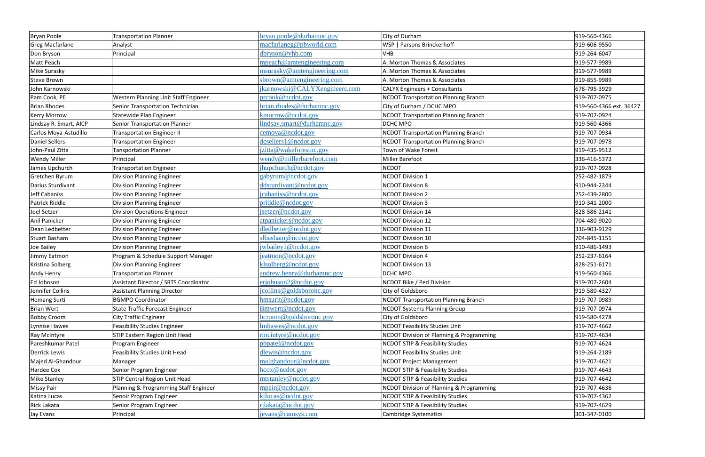| <b>Bryan Poole</b>     | <b>Transportation Planner</b>          | bryan.poole@durhamnc.gov      | City of Durham                              | 919-560-4366            |
|------------------------|----------------------------------------|-------------------------------|---------------------------------------------|-------------------------|
| <b>Greg Macfarlane</b> | Analyst                                | macfarlaneg@pbworld.com       | WSP   Parsons Brinckerhoff                  | 919-606-9550            |
| Don Bryson             | Principal                              | dbryson@vhb.com               | <b>VHB</b>                                  | 919-264-6047            |
| Matt Peach             |                                        | mpeach@amtengineering.com     | A. Morton Thomas & Associates               | 919-577-9989            |
| Mike Surasky           |                                        | msurasky@amtengineering.com   | A. Morton Thomas & Associates               | 919-577-9989            |
| Steve Brown            |                                        | sbrown@amtengineering.com     | A. Morton Thomas & Associates               | 919-855-9989            |
| John Karnowski         |                                        | jkarnowski@CALYXengineers.com | <b>CALYX Engineers + Consultants</b>        | 678-795-3929            |
| Pam Cook, PE           | Western Planning Unit Staff Engineer   | preook@nedot.gov              | <b>NCDOT Transportation Planning Branch</b> | 919-707-0975            |
| <b>Brian Rhodes</b>    | Senior Transportation Technician       | brian.rhodes@durhamnc.gov     | City of Durham / DCHC MPO                   | 919-560-4366 ext. 36427 |
| <b>Kerry Morrow</b>    | Statewide Plan Engineer                | kmorrow@ncdot.gov             | <b>NCDOT Transportation Planning Branch</b> | 919-707-0924            |
| Lindsay R. Smart, AICP | <b>Senior Transportation Planner</b>   | lindsay.smart@durhamnc.gov    | <b>DCHC MPO</b>                             | 919-560-4366            |
| Carlos Moya-Astudillo  | <b>Transportation Engineer II</b>      | cemoya@ncdot.gov              | <b>NCDOT Transportation Planning Branch</b> | 919-707-0934            |
| <b>Daniel Sellers</b>  | <b>Transportation Engineer</b>         | dcsellers1@ncdot.gov          | <b>NCDOT Transportation Planning Branch</b> | 919-707-0978            |
| John-Paul Zitta        | <b>Tansportation Planner</b>           | jzitta@wakeforestnc.gov       | Town of Wake Forest                         | 919-435-9512            |
| <b>Wendy Miller</b>    | Principal                              | wendy@millerbarefoot.com      | <b>Miller Barefoot</b>                      | 336-416-5372            |
| James Upchurch         | <b>Transportation Engineer</b>         | jhupchurch@ncdot.gov          | <b>NCDOT</b>                                | 919-707-0928            |
| Gretchen Byrum         | <b>Division Planning Engineer</b>      | gabyrum@ncdot.gov             | <b>NCDOT Division 1</b>                     | 252-482-1879            |
| Darius Sturdivant      | <b>Division Planning Engineer</b>      | ddsturdivant@ncdot.gov        | <b>NCDOT Division 8</b>                     | 910-944-2344            |
| Jeff Cabaniss          | <b>Division Planning Engineer</b>      | jcabaniss@ncdot.gov           | <b>NCDOT Division 2</b>                     | 252-439-2800            |
| Patrick Riddle         | <b>Division Planning Engineer</b>      | priddle@ncdot.gov             | <b>NCDOT Division 3</b>                     | 910-341-2000            |
| Joel Setzer            | <b>Division Operations Engineer</b>    | jsetzer@ncdot.gov             | <b>NCDOT Division 14</b>                    | 828-586-2141            |
| Anil Panicker          | Division Planning Engineer             | atpanicker@ncdot.gov          | <b>NCDOT Division 12</b>                    | 704-480-9020            |
| Dean Ledbetter         | <b>Division Planning Engineer</b>      | dledbetter@ncdot.gov          | <b>NCDOT Division 11</b>                    | 336-903-9129            |
| <b>Stuart Basham</b>   | <b>Division Planning Engineer</b>      | slbasham@ncdot.gov            | <b>NCDOT Division 10</b>                    | 704-845-1151            |
| Joe Bailey             | <b>Division Planning Engineer</b>      | jwbailey1@ncdot.gov           | <b>NCDOT Division 6</b>                     | 910-486-1493            |
| Jimmy Eatmon           | Program & Schedule Support Manager     | jeatmon@ncdot.gov             | <b>NCDOT Division 4</b>                     | 252-237-6164            |
| Kristina Solberg       | <b>Division Planning Engineer</b>      | klsolberg@ncdot.gov           | <b>NCDOT Division 13</b>                    | 828-251-6171            |
| Andy Henry             | <b>Transportation Planner</b>          | andrew.henry@durhamnc.gov     | <b>DCHC MPO</b>                             | 919-560-4366            |
| Ed Johnson             | Assistant Director / SRTS Coordinator  | erjohnson2@ncdot.gov          | NCDOT Bike / Ped Division                   | 919-707-2604            |
| Jennifer Collins       | <b>Assistant Planning Director</b>     | jcollins@goldsboronc.gov      | City of Goldsboro                           | 919-580-4327            |
| <b>Hemang Surti</b>    | <b>BGMPO Coordinator</b>               | hmsurit@ncdot.gov             | <b>NCDOT Transportation Planning Branch</b> | 919-707-0989            |
| <b>Brian Wert</b>      | <b>State Traffic Forecast Engineer</b> | Bmwert@ncdot.gov              | <b>NCDOT Systems Planning Group</b>         | 919-707-0974            |
| <b>Bobby Croom</b>     | <b>City Traffic Engineer</b>           | bcroom@goldsboronc.gov        | City of Goldsboro                           | 919-580-4278            |
| <b>Lynnise Hawes</b>   | <b>Feasibility Studies Engineer</b>    | lmhawes@ncdot.gov             | <b>NCDOT Feasibility Studies Unit</b>       | 919-707-4662            |
| Ray McIntyre           | <b>STIP Eastern Region Unit Head</b>   | $r$ mcintyre@ncdot.gov        | NCDOT Division of Planning & Programming    | 919-707-4634            |
| Pareshkumar Patel      | Program Engineer                       | pbpatel@ncdot.gov             | <b>NCDOT STIP &amp; Feasibility Studies</b> | 919-707-4624            |
| <b>Derrick Lewis</b>   | <b>Feasibility Studies Unit Head</b>   | $d$ lewis@ncdot.gov           | <b>NCDOT Feasibility Studies Unit</b>       | 919-264-2189            |
| Majed Al-Ghandour      | Manager                                | malghandour@ncdot.gov         | <b>NCDOT Project Management</b>             | 919-707-4621            |
| <b>Hardee Cox</b>      | Senior Program Engineer                | hcox@ncdot.gov                | <b>NCDOT STIP &amp; Feasibility Studies</b> | 919-707-4643            |
| <b>Mike Stanley</b>    | STIP Central Region Unit Head          | mtstanley@ncdot.gov           | <b>NCDOT STIP &amp; Feasibility Studies</b> | 919-707-4642            |
| <b>Missy Pair</b>      | Planning & Programming Staff Engineer  | mpair@ncdot.gov               | NCDOT Division of Planning & Programming    | 919-707-4636            |
| Katina Lucas           | Senoir Program Engineer                | ktlucas@ncdot.gov             | <b>NCDOT STIP &amp; Feasibility Studies</b> | 919-707-4362            |
| Rick Lakata            | Senior Program Engineer                | rjlakata@ncdot.gov            | <b>NCDOT STIP &amp; Feasibility Studies</b> | 919-707-4629            |
| Jay Evans              | Principal                              | jevans@camsys.com             | Cambridge Systematics                       | 301-347-0100            |
|                        |                                        |                               |                                             |                         |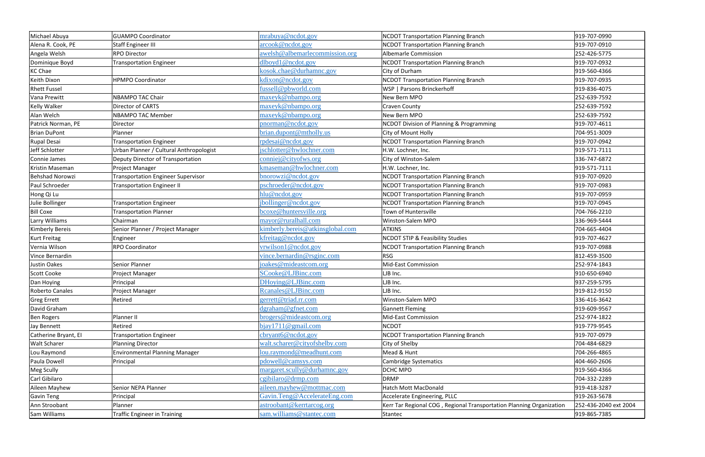| Michael Abuya          | <b>GUAMPO Coordinator</b>               | mrabuya@ncdot.gov                | <b>NCDOT Transportation Planning Branch</b>                          | 919-707-0990          |
|------------------------|-----------------------------------------|----------------------------------|----------------------------------------------------------------------|-----------------------|
| Alena R. Cook, PE      | <b>Staff Engineer III</b>               | arcook@ncdot.gov                 | <b>NCDOT Transportation Planning Branch</b>                          | 919-707-0910          |
| Angela Welsh           | <b>RPO Director</b>                     | awelsh@albemarlecommission.org   | <b>Albemarle Commission</b>                                          | 252-426-5775          |
| Dominique Boyd         | <b>Transportation Engineer</b>          | $d$ lboyd $1@$ ncdot.gov         | <b>NCDOT Transportation Planning Branch</b>                          | 919-707-0932          |
| <b>KC Chae</b>         |                                         | kosok.chae@durhamnc.gov          | City of Durham                                                       | 919-560-4366          |
| Keith Dixon            | <b>HPMPO Coordinator</b>                | kdixon@ncdot.gov                 | <b>NCDOT Transportation Planning Branch</b>                          | 919-707-0935          |
| <b>Rhett Fussel</b>    |                                         | fussell@pbworld.com              | WSP   Parsons Brinckerhoff                                           | 919-836-4075          |
| Vana Prewitt           | NBAMPO TAC Chair                        | maxeyk@nbampo.org                | New Bern MPO                                                         | 252-639-7592          |
| <b>Kelly Walker</b>    | Director of CARTS                       | maxeyk@nbampo.org                | <b>Craven County</b>                                                 | 252-639-7592          |
| Alan Welch             | <b>NBAMPO TAC Member</b>                | maxeyk@nbampo.org                | New Bern MPO                                                         | 252-639-7592          |
| Patrick Norman, PE     | Director                                | pnorman@ncdot.gov                | NCDOT Division of Planning & Programming                             | 919-707-4611          |
| <b>Brian DuPont</b>    | Planner                                 | brian.dupont@mtholly.us          | City of Mount Holly                                                  | 704-951-3009          |
| Rupal Desai            | <b>Transportation Engineer</b>          | rpdesai@ncdot.gov                | <b>NCDOT Transportation Planning Branch</b>                          | 919-707-0942          |
| Jeff Schlotter         | Urban Planner / Cultural Anthropologist | jschlotter@hwlochner.com         | H.W. Lochner, Inc.                                                   | 919-571-7111          |
| Connie James           | Deputy Director of Transportation       | conniej@cityofws.org             | City of Winston-Salem                                                | 336-747-6872          |
| <b>Kristin Maseman</b> | Project Manager                         | kmaseman@hwlochner.com           | H.W. Lochner, Inc.                                                   | 919-571-7111          |
| <b>Behshad Norowzi</b> | Transportation Engineer Supervisor      | bnorowzi@ncdot.gov               | <b>NCDOT Transportation Planning Branch</b>                          | 919-707-0920          |
| Paul Schroeder         | <b>Transportation Engineer II</b>       | pschroeder@ncdot.gov             | <b>NCDOT Transportation Planning Branch</b>                          | 919-707-0983          |
| Hong Qi Lu             |                                         | hlu@ncdot.gov                    | <b>NCDOT Transportation Planning Branch</b>                          | 919-707-0959          |
| Julie Bollinger        | <b>Transportation Engineer</b>          | jbollinger@ncdot.gov             | <b>NCDOT Transportation Planning Branch</b>                          | 919-707-0945          |
| <b>Bill Coxe</b>       | <b>Transportation Planner</b>           | bcoxe@huntersville.org           | Town of Huntersville                                                 | 704-766-2210          |
| Larry Williams         | Chairman                                | mayor@ruralhall.com              | Winston-Salem MPO                                                    | 336-969-5444          |
| <b>Kimberly Bereis</b> | Senior Planner / Project Manager        | kimberly.bereis@atkinsglobal.com | <b>ATKINS</b>                                                        | 704-665-4404          |
| <b>Kurt Freitag</b>    | Engineer                                | kfreitag@ncdot.gov               | <b>NCDOT STIP &amp; Feasibility Studies</b>                          | 919-707-4627          |
| Vernia Wilson          | RPO Coordinator                         | vrwilson1@ncdot.gov              | <b>NCDOT Transportation Planning Branch</b>                          | 919-707-0988          |
| Vince Bernardin        |                                         | vince.bernardin@rsginc.com       | <b>RSG</b>                                                           | 812-459-3500          |
| Justin Oakes           | Senior Planner                          | joakes@mideastcom.org            | <b>Mid-East Commission</b>                                           | 252-974-1843          |
| <b>Scott Cooke</b>     | Project Manager                         | SCooke@LJBinc.com                | LJB Inc.                                                             | 910-650-6940          |
| Dan Hoying             | Principal                               | DHoying@LJBinc.com               | LJB Inc.                                                             | 937-259-5795          |
| <b>Roberto Canales</b> | Project Manager                         | Rcanales@LJBinc.com              | LJB Inc.                                                             | 919-812-9150          |
| <b>Greg Errett</b>     | Retired                                 | gerrett@triad.rr.com             | Winston-Salem MPO                                                    | 336-416-3642          |
| David Graham           |                                         | dgraham@gfnet.com                | <b>Gannett Fleming</b>                                               | 919-609-9567          |
| <b>Ben Rogers</b>      | Planner II                              | brogers@mideastcom.org           | <b>Mid-East Commission</b>                                           | 252-974-1822          |
| Jay Bennett            | Retired                                 | bigy1711@gmail.com               | <b>NCDOT</b>                                                         | 919-779-9545          |
| Catherine Bryant, El   | <b>Transportation Engineer</b>          | cbryant6@ncdot.gov               | <b>NCDOT Transportation Planning Branch</b>                          | 919-707-0979          |
| <b>Walt Scharer</b>    | <b>Planning Director</b>                | walt.scharer@cityofshelby.com    | City of Shelby                                                       | 704-484-6829          |
| Lou Raymond            | <b>Environmental Planning Manager</b>   | lou.raymond@meadhunt.com         | Mead & Hunt                                                          | 704-266-4865          |
| Paula Dowell           | Principal                               | pdowell@camsys.com               | <b>Cambridge Systematics</b>                                         | 404-460-2606          |
| <b>Meg Scully</b>      |                                         | margaret.scully@durhamnc.gov     | DCHC MPO                                                             | 919-560-4366          |
| Carl Gibilaro          |                                         | cgibilaro@drmp.com               | <b>DRMP</b>                                                          | 704-332-2289          |
| Aileen Mayhew          | Senior NEPA Planner                     | aileen.mayhew@mottmac.com        | <b>Hatch Mott MacDonald</b>                                          | 919-418-3287          |
| <b>Gavin Teng</b>      | Principal                               | Gavin.Teng@AccelerateEng.com     | Accelerate Engineering, PLLC                                         | 919-263-5678          |
| Ann Stroobant          | Planner                                 | astroobant@kerrtarcog.org        | Kerr Tar Regional COG, Regional Transportation Planning Organization | 252-436-2040 ext 2004 |
| Sam Williams           | <b>Traffic Engineer in Training</b>     | sam.williams@stantec.com         | Stantec                                                              | 919-865-7385          |
|                        |                                         |                                  |                                                                      |                       |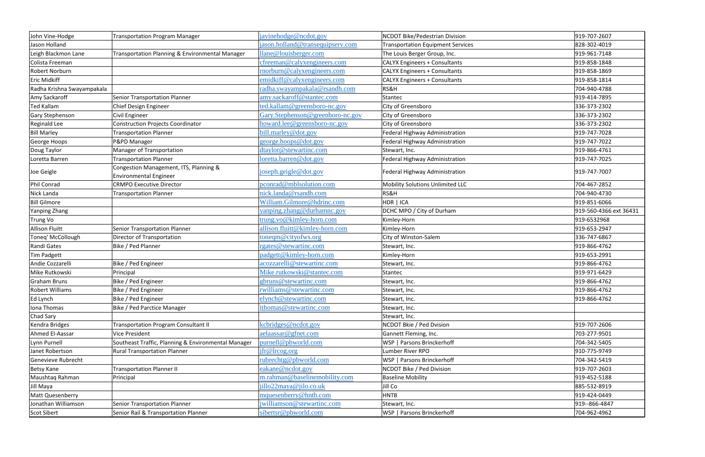| John Vine-Hodge            | <b>Transportation Program Manager</b>               | javinehodge@ncdot.gov            | <b>NCDOT Bike/Pedestrian Division</b>    | 919-707-2607           |
|----------------------------|-----------------------------------------------------|----------------------------------|------------------------------------------|------------------------|
| Jason Holland              |                                                     | jason.holland@transequipserv.com | <b>Transportation Equipment Services</b> | 828-302-4019           |
| Leigh Blackmon Lane        | Transportation Planning & Environmental Manager     | llane@louisberger.com            | The Louis Berger Group, Inc.             | 919-961-7148           |
| Colista Freeman            |                                                     | cfreeman@calyxengineers.com      | <b>CALYX Engineers + Consultants</b>     | 919-858-1848           |
| Robert Norburn             |                                                     | rnorburn@calyxengineers.com      | <b>CALYX Engineers + Consultants</b>     | 919-858-1869           |
| <b>Eric Midkiff</b>        |                                                     | emidkiff@calyxengineers.com      | <b>CALYX Engineers + Consultants</b>     | 919-858-1814           |
| Radha Krishna Swayampakala |                                                     | radha.swayampakala@rsandh.com    | RS&H                                     | 704-940-4788           |
| Amy Sackaroff              | <b>Senior Transportation Planner</b>                | amy.sackaroff@stantec.com        | Stantec                                  | 919-414-7895           |
| <b>Ted Kallam</b>          | Chief Design Engineer                               | ted.kallam@greensboro-nc.gov     | City of Greensboro                       | 336-373-2302           |
| <b>Gary Stephenson</b>     | Civil Engineer                                      | Gary.Stephenson@greenboro-nc.gov | City of Greensboro                       | 336-373-2302           |
| <b>Reginald Lee</b>        | <b>Construction Projects Coordinator</b>            | howard.lee@greensboro-nc.gov     | City of Greensboro                       | 336-373-2302           |
| <b>Bill Marley</b>         | <b>Transportation Planner</b>                       | bill.marley@dot.gov              | Federal Highway Administration           | 919-747-7028           |
| George Hoops               | P&PD Manager                                        | george.hoops@dot.gov             | Federal Highway Administration           | 919-747-7022           |
| Doug Taylor                | Manager of Transportation                           | dtaylor@stewartinc.com           | Stewart, Inc.                            | 919-866-4761           |
| Loretta Barren             | <b>Transportation Planner</b>                       | loretta.barren@dot.gov           | Federal Highway Administration           | 919-747-7025           |
|                            | Congestion Management, ITS, Planning &              |                                  | Federal Highway Administration           | 919-747-7007           |
| Joe Geigle                 | <b>Environmental Engineer</b>                       | joseph.geigle@dot.gov            |                                          |                        |
| Phil Conrad                | <b>CRMPO Executive Director</b>                     | pconrad@mblsolution.com          | <b>Mobility Solutions Unlimited LLC</b>  | 704-467-2852           |
| Nick Landa                 | <b>Transportation Planner</b>                       | nick.landa@rsandh.com            | RS&H                                     | 704-940-4730           |
| <b>Bill Gilmore</b>        |                                                     | William.Gilmore@hdrinc.com       | HDR   ICA                                | 919-851-6066           |
| Yanping Zhang              |                                                     | yanping.zhang@durhamnc.gov       | DCHC MPO / City of Durham                | 919-560-4366 ext 36431 |
| <b>Trung Vo</b>            |                                                     | trung.vo@kimley-horn.com         | Kimley-Horn                              | 919-6532968            |
| <b>Allison Fluitt</b>      | <b>Senior Transportation Planner</b>                | allison.fluitt@kimley-horn.com   | Kimley-Horn                              | 919-653-2947           |
| Toneq' McCollough          | Director of Transportation                          | toneqm@cityofws.org              | City of Winston-Salem                    | 336-747-6867           |
| Randi Gates                | Bike / Ped Planner                                  | rgates@stewartinc.com            | Stewart, Inc.                            | 919-866-4762           |
| Tim Padgett                |                                                     | padgett@kimley-horn.com          | Kimley-Horn                              | 919-653-2991           |
| Andie Cozzarelli           | Bike / Ped Engineer                                 | acozzarelli@stewartinc.com       | Stewart, Inc.                            | 919-866-4762           |
| Mike Rutkowski             | Principal                                           | Mike.rutkowski@stantec.com       | Stantec                                  | 919-971-6429           |
| <b>Graham Bruns</b>        | Bike / Ped Engineer                                 | gbruns@stewartinc.com            | Stewart, Inc.                            | 919-866-4762           |
| <b>Robert Williams</b>     | Bike / Ped Engineer                                 | rwilliams@stewartinc.com         | Stewart, Inc.                            | 919-866-4762           |
| Ed Lynch                   | Bike / Ped Engineer                                 | elynch@stewartinc.com            | Stewart, Inc.                            | 919-866-4762           |
| Iona Thomas                | <b>Bike / Ped Parctice Manager</b>                  | ithomas@stewartinc.com           | Stewart, Inc.                            |                        |
| Chad Sary                  |                                                     |                                  | Stewart, Inc.                            |                        |
| Kendra Bridges             | Transportation Program Consultant II                | kcbridges@ncdot.gov              | NCDOT Bkie / Ped Dvision                 | 919-707-2606           |
| Ahmed El-Aassar            | <b>Vice President</b>                               | aelaassar@gfnet.com              | Gannett Fleming, Inc.                    | 703-277-9501           |
| Lynn Purnell               | Southeast Traffic, Planning & Environmental Manager | purnell@pbworld.com              | WSP   Parsons Brinckerhoff               | 704-342-5405           |
| Janet Robertson            | <b>Rural Transportation Planner</b>                 | ifr@lrcog.org                    | Lumber River RPO                         | 910-775-9749           |
| Genevieve Rubrecht         |                                                     | rubrechtg@pbworld.com            | WSP   Parsons Brinckerhoff               | 704-342-5419           |
| <b>Betsy Kane</b>          | <b>Transportation Planner II</b>                    | eakane@ncdot.gov                 | NCDOT Bike / Ped Division                | 919-707-2603           |
| Maushtaq Rahman            | Principal                                           | m.rahman@baselinemobility.com    | <b>Baseline Mobility</b>                 | 919-452-5188           |
| Jill Maya                  |                                                     | jillo22maya@jilo.co.uk           | Jill Co                                  | 885-532-8919           |
| Matt Quesenberry           |                                                     | mquesenberry@hntb.com            | <b>HNTB</b>                              | 919-424-0449           |
| Jonathan Williamson        | Senior Transportation Planner                       | jwilliamson@stewartinc.com       | Stewart, Inc.                            | 919--866-4847          |
| <b>Scot Sibert</b>         | Senior Rail & Transportation Planner                | sibertsr@pbworld.com             | WSP   Parsons Brinckerhoff               | 704-962-4962           |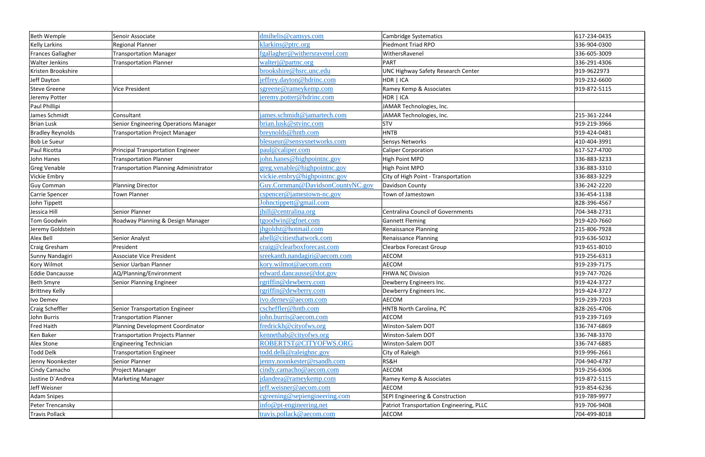| <b>Beth Wemple</b>      | Senoir Associate                             | dmihelis@camsys.com              | <b>Cambridge Systematics</b>              | 617-234-0435 |
|-------------------------|----------------------------------------------|----------------------------------|-------------------------------------------|--------------|
| <b>Kelly Larkins</b>    | <b>Regional Planner</b>                      | klarkins@ptrc.org                | <b>Piedmont Triad RPO</b>                 | 336-904-0300 |
| Frances Gallagher       | <b>Transportation Manager</b>                | fgallagher@withersravenel.com    | WithersRavenel                            | 336-605-3009 |
| <b>Walter Jenkins</b>   | <b>Transportation Planner</b>                | walterj@partnc.org               | <b>PART</b>                               | 336-291-4306 |
| Kristen Brookshire      |                                              | brookshire@hsrc.unc.edu          | <b>UNC Highway Safety Research Center</b> | 919-9622973  |
| Jeff Dayton             |                                              | jeffrey.dayton@hdrinc.com        | HDR   ICA                                 | 919-232-6600 |
| <b>Steve Greene</b>     | <b>Vice President</b>                        | sgreene@rameykemp.com            | Ramey Kemp & Associates                   | 919-872-5115 |
| Jeremy Potter           |                                              | jeremy.potter@hdrinc.com         | HDR   ICA                                 |              |
| Paul Phillipi           |                                              |                                  | JAMAR Technologies, Inc.                  |              |
| James Schmidt           | Consultant                                   | james.schmidt@jamartech.com      | JAMAR Technologies, Inc.                  | 215-361-2244 |
| <b>Brian Lusk</b>       | Senior Engineering Operations Manager        | brian.lusk@stvinc.com            | <b>STV</b>                                | 919-219-3966 |
| <b>Bradley Reynolds</b> | <b>Transportation Project Manager</b>        | breynolds@hntb.com               | HNTB                                      | 919-424-0481 |
| <b>Bob Le Sueur</b>     |                                              | blesueur@sensysnetworks.com      | Sensys Networks                           | 410-404-3991 |
| Paul Ricotta            | <b>Principal Transportation Engineer</b>     | paul@caliper.com                 | <b>Caliper Corporation</b>                | 617-527-4700 |
| John Hanes              | <b>Transportation Planner</b>                | john.hanes@highpointnc.gov       | <b>High Point MPO</b>                     | 336-883-3233 |
| <b>Greg Venable</b>     | <b>Transportation Planning Administrator</b> | greg.venable@highpointnc.gov     | High Point MPO                            | 336-883-3310 |
| Vickie Embry            |                                              | vickie.embry@highpointnc.gov     | City of High Point - Transportation       | 336-883-3229 |
| <b>Guy Comman</b>       | <b>Planning Director</b>                     | Guy.Cornman@DavidsonCountyNC.gov | Davidson County                           | 336-242-2220 |
| Carrie Spencer          | Town Planner                                 | $c$ spencer@jamestown-nc.gov     | Town of Jamestown                         | 336-454-1138 |
| John Tippett            |                                              | Johnctippett@gmail.com           |                                           | 828-396-4567 |
| Jessica Hill            | Senior Planner                               | jhill@centralina.org             | <b>Centralina Council of Governments</b>  | 704-348-2731 |
| Tom Goodwin             | Roadway Planning & Design Manager            | tgoodwin@gfnet.com               | <b>Gannett Fleming</b>                    | 919-420-7660 |
| Jeremy Goldstein        |                                              | jhgoldst@hotmail.com             | <b>Renaissance Planning</b>               | 215-806-7928 |
| Alex Bell               | Senior Analyst                               | abell@citiesthatwork.com         | <b>Renaissance Planning</b>               | 919-636-5032 |
| <b>Craig Gresham</b>    | President                                    | craig@clearboxforecast.com       | <b>Clearbox Forecast Group</b>            | 919-651-8010 |
| Sunny Nandagiri         | <b>Associate Vice President</b>              | sreekanth.nandagiri@aecom.com    | AECOM                                     | 919-256-6313 |
| <b>Kory Wilmot</b>      | Senior Uarban Planner                        | kory.wilmot@aecom.com            | <b>AECOM</b>                              | 919-239-7175 |
| Eddie Dancausse         | AQ/Planning/Environment                      | edward.dancausse@dot.gov         | <b>FHWA NC Division</b>                   | 919-747-7026 |
| <b>Beth Smyre</b>       | Senior Planning Engineer                     | rgriffin@dewberry.com            | Dewberry Engineers Inc.                   | 919-424-3727 |
| <b>Brittney Kelly</b>   |                                              | rgriffin@dewberry.com            | Dewberry Engineers Inc.                   | 919-424-3727 |
| Ivo Demev               |                                              | ivo.dernev@aecom.com             | AECOM                                     | 919-239-7203 |
| <b>Craig Scheffler</b>  | Senior Transportation Engineer               | cscheffler@hntb.com              | HNTB North Carolina, PC                   | 828-265-4706 |
| John Burris             | <b>Transportation Planner</b>                | john.burris@aecom.com            | AECOM                                     | 919-239-7169 |
| Fred Haith              | Planning Development Coordinator             | fredrickh@cityofws.org           | Winston-Salem DOT                         | 336-747-6869 |
| Ken Baker               | <b>Transportation Projects Planner</b>       | kennethab@cityofws.org           | Winston-Salem DOT                         | 336-748-3370 |
| Alex Stone              | Engineering Technician                       | ROBERTST@CITYOFWS.ORG            | Winston-Salem DOT                         | 336-747-6885 |
| <b>Todd Delk</b>        | <b>Transportation Engineer</b>               | todd.delk@raleighnc.gov          | City of Raleigh                           | 919-996-2661 |
| Jenny Noonkester        | Senior Planner                               | jenny.noonkester@rsandh.com      | RS&H                                      | 704-940-4787 |
| Cindy Camacho           | Project Manager                              | cindy.camacho@aecom.com          | AECOM                                     | 919-256-6306 |
| Justine D'Andrea        | <b>Marketing Manager</b>                     | jdandrea@rameykemp.com           | Ramey Kemp & Associates                   | 919-872-5115 |
| Jeff Weisner            |                                              | jeff.weisner@aecom.com           | AECOM                                     | 919-854-6236 |
| <b>Adam Snipes</b>      |                                              | cgreening@sepiengineering.com    | SEPI Engineering & Construction           | 919-789-9977 |
| Peter Trencansky        |                                              | $info@pt\text{-}engineering.net$ | Patriot Transportation Engineering, PLLC  | 919-706-9408 |
| <b>Travis Pollack</b>   |                                              | travis.pollack@aecom.com         | AECOM                                     | 704-499-8018 |
|                         |                                              |                                  |                                           |              |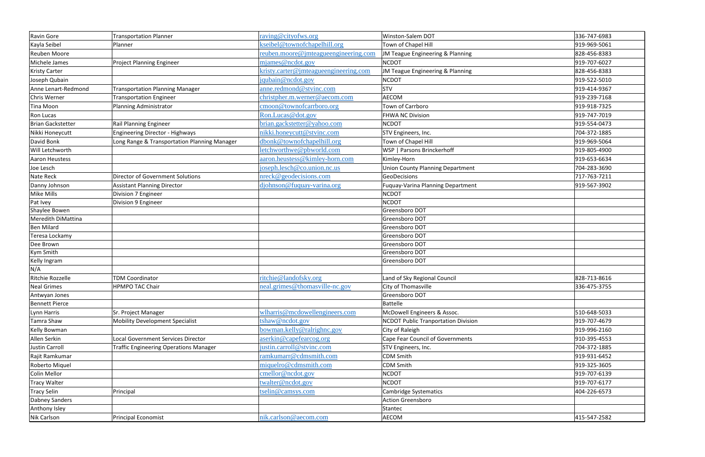| Ravin Gore                       | <b>Transportation Planner</b>                 | raving@cityofws.org                   | Winston-Salem DOT                                             | 336-747-6983 |
|----------------------------------|-----------------------------------------------|---------------------------------------|---------------------------------------------------------------|--------------|
| Kayla Seibel                     | Planner                                       | kseibel@townofchapelhill.org          | Town of Chapel Hill                                           | 919-969-5061 |
| <b>Reuben Moore</b>              |                                               | reuben.moore@jmteagueengineering.com  | JM Teague Engineering & Planning                              | 828-456-8383 |
| Michele James                    | <b>Project Planning Engineer</b>              | mjames@ncdot.gov                      | <b>NCDOT</b>                                                  | 919-707-6027 |
| <b>Kristy Carter</b>             |                                               | kristy.carter@jmteagueengineering.com | JM Teague Engineering & Planning                              | 828-456-8383 |
| Joseph Qubain                    |                                               | jqubain@ncdot.gov                     | <b>NCDOT</b>                                                  | 919-522-5010 |
| Anne Lenart-Redmond              | <b>Transportation Planning Manager</b>        | anne.redmond@stvinc.com               | STV                                                           | 919-414-9367 |
| <b>Chris Werner</b>              | <b>Transportation Engineer</b>                | christpher.m.werner@aecom.com         | AECOM                                                         | 919-239-7168 |
| Tina Moon                        | Planning Administrator                        | cmoon@townofcarrboro.org              | Town of Carrboro                                              | 919-918-7325 |
| Ron Lucas                        |                                               | Ron.Lucas@dot.gov                     | <b>FHWA NC Division</b>                                       | 919-747-7019 |
| <b>Brian Gackstetter</b>         | Rail Planning Engineer                        | brian.gackstetter@yahoo.com           | <b>NCDOT</b>                                                  | 919-554-0473 |
| Nikki Honeycutt                  | <b>Engineering Director - Highways</b>        | nikki.honeycutt@stvinc.com            | STV Engineers, Inc.                                           | 704-372-1885 |
| David Bonk                       | Long Range & Transportation Planning Manager  | dbonk@townofchapelhill.org            | Town of Chapel Hill                                           | 919-969-5064 |
| <b>Will Letchworth</b>           |                                               | letchworthwe@pbworld.com              | WSP   Parsons Brinckerhoff                                    | 919-805-4900 |
| Aaron Heustess                   |                                               | aaron.heustess@kimley-horn.com        | Kimley-Horn                                                   | 919-653-6634 |
| Joe Lesch                        |                                               | joseph.lesch@co.union.nc.us           | <b>Union County Planning Department</b>                       | 704-283-3690 |
| Nate Reck                        | <b>Director of Government Solutions</b>       | nreck@geodecisions.com                | GeoDecisions                                                  | 717-763-7211 |
| Danny Johnson                    | <b>Assistant Planning Director</b>            | djohnson@fuquay-varina.org            | <b>Fuquay-Varina Planning Department</b>                      | 919-567-3902 |
| Mike Mills                       | Division 7 Engineer                           |                                       | <b>NCDOT</b>                                                  |              |
| Pat Ivey                         | Division 9 Engineer                           |                                       | <b>NCDOT</b>                                                  |              |
| Shaylee Bowen                    |                                               |                                       | Greensboro DOT                                                |              |
| Meredith DiMattina               |                                               |                                       | Greensboro DOT                                                |              |
| <b>Ben Milard</b>                |                                               |                                       | Greensboro DOT                                                |              |
| Teresa Lockamy                   |                                               |                                       | Greensboro DOT                                                |              |
| Dee Brown                        |                                               |                                       | Greensboro DOT                                                |              |
| Kym Smith                        |                                               |                                       | Greensboro DOT                                                |              |
| Kelly Ingram                     |                                               |                                       | Greensboro DOT                                                |              |
| N/A                              |                                               |                                       |                                                               |              |
| Ritchie Rozzelle                 | <b>TDM Coordinator</b>                        | ritchie@landofsky.org                 | Land of Sky Regional Council                                  | 828-713-8616 |
| <b>Neal Grimes</b>               | <b>HPMPO TAC Chair</b>                        | neal.grimes@thomasville-nc.gov        | City of Thomasville                                           | 336-475-3755 |
| Antwyan Jones                    |                                               |                                       | Greensboro DOT                                                |              |
| <b>Bennett Pierce</b>            |                                               | wlharris@mcdowellengineers.com        | Battelle                                                      | 510-648-5033 |
| Lynn Harris                      | Sr. Project Manager                           | tshaw@ncdot.gov                       | McDowell Engineers & Assoc.                                   | 919-707-4679 |
| Tamra Shaw<br>Kelly Bowman       | <b>Mobility Development Specialist</b>        | bowman.kelly@ralrighnc.gov            | <b>NCDOT Public Tranportation Division</b><br>City of Raleigh | 919-996-2160 |
| Allen Serkin                     | <b>Local Government Services Director</b>     | aserkin@capefearcog.org               | <b>Cape Fear Council of Governments</b>                       | 910-395-4553 |
| Justin Carroll                   |                                               | justin.carroll@stvinc.com             |                                                               | 704-372-1885 |
|                                  | <b>Traffic Engineering Operations Manager</b> | ramkumarr@cdmsmith.com                | STV Engineers, Inc.<br><b>CDM Smith</b>                       | 919-931-6452 |
| Rajit Ramkumar<br>Roberto Miquel |                                               | miquelro@cdmsmith.com                 | <b>CDM Smith</b>                                              | 919-325-3605 |
| Colin Mellor                     |                                               | cmellor@ncdot.gov                     | <b>NCDOT</b>                                                  | 919-707-6139 |
|                                  |                                               |                                       |                                                               | 919-707-6177 |
| <b>Tracy Walter</b>              |                                               | twalter@ncdot.gov                     | <b>NCDOT</b>                                                  |              |
| <b>Tracy Selin</b>               | Principal                                     | tselin@camsys.com                     | <b>Cambridge Systematics</b><br>Action Greensboro             | 404-226-6573 |
| <b>Dabney Sanders</b>            |                                               |                                       |                                                               |              |
| Anthony Isley                    |                                               | nik.carlson@aecom.com                 | Stantec                                                       |              |
| <b>Nik Carlson</b>               | Principal Economist                           |                                       | AECOM                                                         | 415-547-2582 |